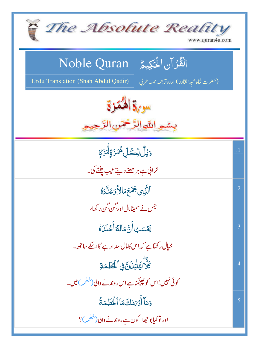| The Absolute Reality<br>www.quran4u.com                                                                                        |                |
|--------------------------------------------------------------------------------------------------------------------------------|----------------|
| الْقُرْآنِ الْمَكِيمُ Noble Quran<br>Urdu Translation (Shah Abdul Qadir)<br>(حضرت شاه عبد القادر) اردوتر <i>جمه بمعه ع</i> ربي |                |
| سورة المُمَزِّ<br>بسمو اللَّهِ الرَّحْمَنِ الرَّحِ                                                                             |                |
| <u>وَيۡلُّ لِّڪُلِّ</u> هُمَزَةِلَّٰمَزَةِ                                                                                     | $\overline{1}$ |
| خرابی ہے ہر طعنے دیتے عیب چنتے کی۔                                                                                             |                |
| ٱلَّذِ <i>ى <del>جَ</del>مَعَ</i> هَالاً دَعَلَّدَهُ                                                                           | $\cdot$ .2     |
| جس نے سمیٹامال اور گِن گِن رکھا،                                                                                               |                |
| يَحْسَبُ أَنَّ مَالَةٌ أَخْلَدَهُ                                                                                              | $\mathbf{.3}$  |
| خیال رکھتاہے کہ اس کامال سد ارہے گااسکے ساتھ ۔                                                                                 |                |
| كَلَّالِيَنْبَذَنَّ فِى ٱلْحُطَمَةِ                                                                                            | .4             |
| کوئی نہیں!اس کو پچینکناہے اس روندنے والی(حُطمہ ) میں۔                                                                          |                |
| وَمَآ أَدۡ مَالِكَ مَاۤ ٱلۡكَٰطَمَةُ                                                                                           | .5             |
| اور نو کیابو جھا کون ہے روندنے والی(خطمہ )؟                                                                                    |                |